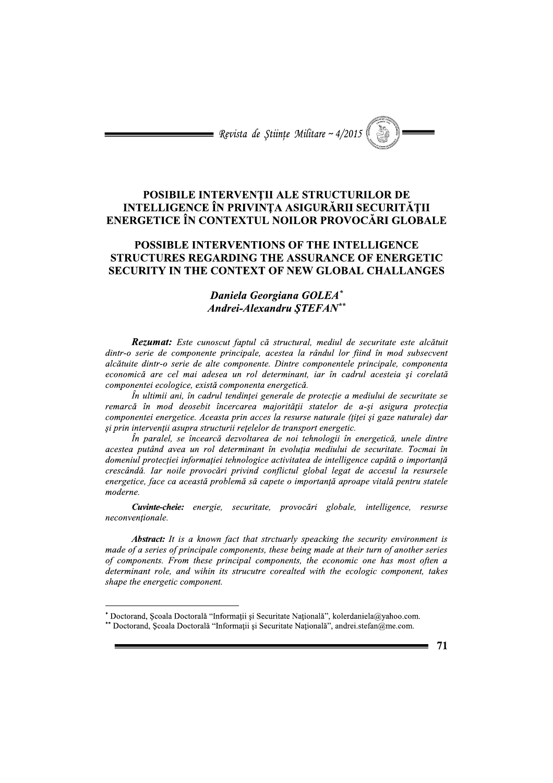= Revista de Stiințe Militare ~  $4/2015$ 

# POSIBILE INTERVENȚII ALE STRUCTURILOR DE INTELLIGENCE ÎN PRIVINTA ASIGURĂRII SECURITĂTII ENERGETICE ÎN CONTEXTUL NOILOR PROVOCĂRI GLOBALE

# POSSIBLE INTERVENTIONS OF THE INTELLIGENCE STRUCTURES REGARDING THE ASSURANCE OF ENERGETIC **SECURITY IN THE CONTEXT OF NEW GLOBAL CHALLANGES**

# Daniela Georgiana GOLEA\* Andrei-Alexandru STEFAN\*\*

Rezumat: Este cunoscut faptul că structural, mediul de securitate este alcătuit dintr-o serie de componente principale, acestea la rândul lor fiind în mod subsecvent alcătuite dintr-o serie de alte componente. Dintre componentele principale, componenta economică are cel mai adesea un rol determinant, iar în cadrul acesteia si corelată componentei ecologice, există componenta energetică.

În ultimii ani, în cadrul tendinței generale de protecție a mediului de securitate se remarcă în mod deosebit încercarea majorității statelor de a-și asigura protecția componentei energetice. Aceasta prin acces la resurse naturale (titei și gaze naturale) dar si prin intervenții asupra structurii rețelelor de transport energetic.

În paralel, se încearcă dezvoltarea de noi tehnologii în energetică, unele dintre acestea putând avea un rol determinant în evoluția mediului de securitate. Tocmai în domeniul protecției informației tehnologice activitatea de intelligence capătă o importanță crescândă. Iar noile provocări privind conflictul global legat de accesul la resursele energetice, face ca această problemă să capete o importanță aproape vitală pentru statele moderne.

Cuvinte-cheie: energie, securitate, provocări globale, intelligence, resurse neconventionale.

**Abstract:** It is a known fact that strctuarly speacking the security environment is made of a series of principale components, these being made at their turn of another series of components. From these principal components, the economic one has most often a determinant role, and wihin its strucutre corealted with the ecologic component, takes shape the energetic component.

<sup>\*</sup> Doctorand, Scoala Doctorală "Informații și Securitate Națională", kolerdaniela@yahoo.com.

<sup>\*\*</sup> Doctorand, Școala Doctorală "Informații și Securitate Națională", andrei.stefan@me.com.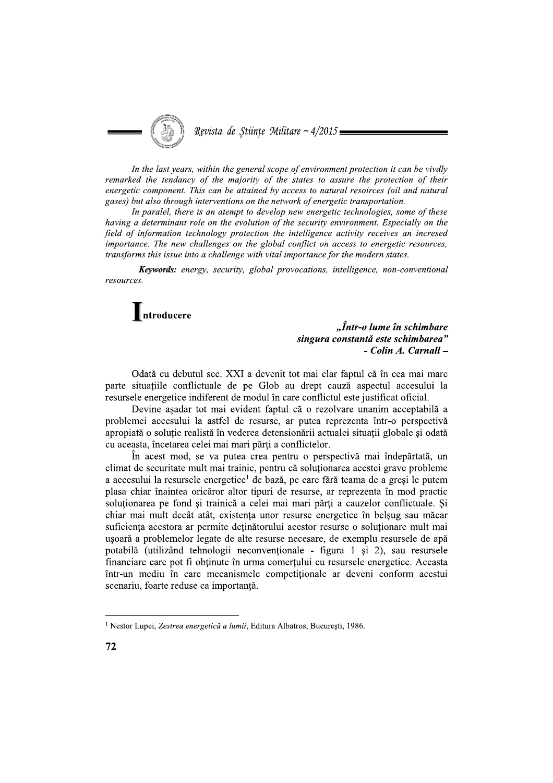

In the last years, within the general scope of environment protection it can be vivdly remarked the tendancy of the majority of the states to assure the protection of their energetic component. This can be attained by access to natural resoirces (oil and natural gases) but also through interventions on the network of energetic transportation.

In paralel, there is an atempt to develop new energetic technologies, some of these having a determinant role on the evolution of the security environment. Especially on the field of information technology protection the intelligence activity receives an incresed importance. The new challenges on the global conflict on access to energetic resources, transforms this issue into a challenge with vital importance for the modern states.

Keywords: energy, security, global provocations, intelligence, non-conventional resources.

 $\blacksquare$ ntroducere

"Într-o lume în schimbare singura constantă este schimbarea" - Colin A. Carnall -

Odată cu debutul sec. XXI a devenit tot mai clar faptul că în cea mai mare parte situatiile conflictuale de pe Glob au drept cauză aspectul accesului la resursele energetice indiferent de modul în care conflictul este justificat oficial.

Devine așadar tot mai evident faptul că o rezolvare unanim acceptabilă a problemei accesului la astfel de resurse, ar putea reprezenta într-o perspectivă apropiată o soluție realistă în vederea detensionării actualei situații globale și odată cu aceasta, încetarea celei mai mari părți a conflictelor.

În acest mod, se va putea crea pentru o perspectivă mai îndepărtată, un climat de securitate mult mai trainic, pentru că soluționarea acestei grave probleme a accesului la resursele energetice<sup>1</sup> de bază, pe care fără teama de a gresi le putem plasa chiar înaintea oricăror altor tipuri de resurse, ar reprezenta în mod practic soluționarea pe fond și trainică a celei mai mari părți a cauzelor conflictuale. Și chiar mai mult decât atât, existența unor resurse energetice în belșug sau măcar suficienta acestora ar permite detinătorului acestor resurse o solutionare mult mai usoară a problemelor legate de alte resurse necesare, de exemplu resursele de apă potabilă (utilizând tehnologii neconventionale - figura 1 si 2), sau resursele financiare care pot fi obținute în urma comerțului cu resursele energetice. Aceasta într-un mediu în care mecanismele competiționale ar deveni conform acestui scenariu, foarte reduse ca importanță.

<sup>&</sup>lt;sup>1</sup> Nestor Lupei, Zestrea energetică a lumii, Editura Albatros, București, 1986.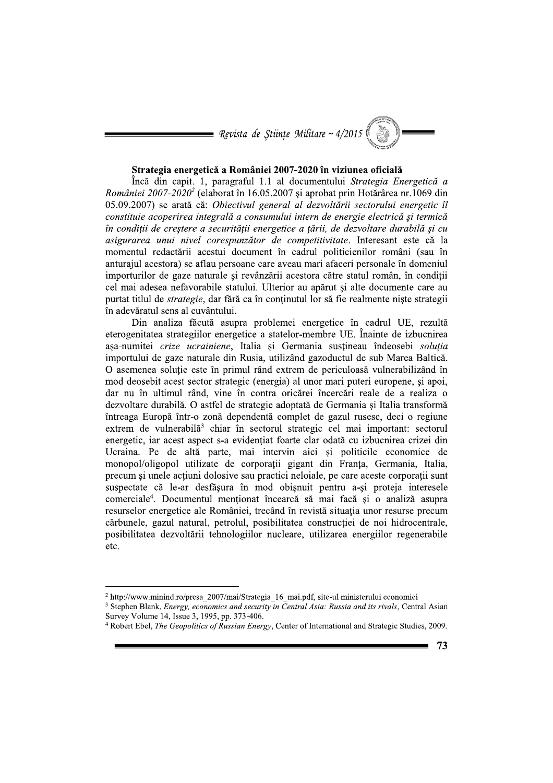$\blacksquare$  Revista de Științe Militare ~ 4/2015

### Strategia energetică a României 2007-2020 în viziunea oficială

Încă din capit. 1, paragraful 1.1 al documentului Strategia Energetică a României 2007-2020<sup>2</sup> (elaborat în 16.05.2007 și aprobat prin Hotărârea nr.1069 din 05.09.2007) se arată că: Obiectivul general al dezvoltării sectorului energetic îl constituie acoperirea integrală a consumului intern de energie electrică și termică în condiții de creștere a securității energetice a țării, de dezvoltare durabilă și cu asigurarea unui nivel corespunzător de competitivitate. Interesant este că la momentul redactării acestui document în cadrul politicienilor români (sau în anturajul acestora) se aflau persoane care aveau mari afaceri personale în domeniul importurilor de gaze naturale și revânzării acestora către statul român, în condiții cel mai adesea nefavorabile statului. Ulterior au apărut și alte documente care au purtat titlul de *strategie*, dar fără ca în conținutul lor să fie realmente niște strategii în adevăratul sens al cuvântului.

Din analiza făcută asupra problemei energetice în cadrul UE, rezultă eterogenitatea strategiilor energetice a statelor-membre UE. Înainte de izbucnirea așa-numitei crize ucrainiene, Italia și Germania susțineau îndeosebi soluția importului de gaze naturale din Rusia, utilizând gazoductul de sub Marea Baltică. O asemenea solutie este în primul rând extrem de periculoasă vulnerabilizând în mod deosebit acest sector strategic (energia) al unor mari puteri europene, și apoi, dar nu în ultimul rând, vine în contra oricărei încercări reale de a realiza o dezvoltare durabilă. O astfel de strategie adoptată de Germania și Italia transformă întreaga Europă într-o zonă dependentă complet de gazul rusesc, deci o regiune extrem de vulnerabilă<sup>3</sup> chiar în sectorul strategic cel mai important: sectorul energetic, iar acest aspect s-a evidențiat foarte clar odată cu izbucnirea crizei din Ucraina. Pe de altă parte, mai intervin aici și politicile economice de monopol/oligopol utilizate de corporații gigant din Franța, Germania, Italia, precum și unele acțiuni dolosive sau practici neloiale, pe care aceste corporații sunt suspectate că le-ar desfășura în mod obișnuit pentru a-și proteja interesele comerciale<sup>4</sup>. Documentul mentionat încearcă să mai facă și o analiză asupra resurselor energetice ale României, trecând în revistă situația unor resurse precum cărbunele, gazul natural, petrolul, posibilitatea construcției de noi hidrocentrale, posibilitatea dezvoltării tehnologiilor nucleare, utilizarea energiilor regenerabile etc.

<sup>&</sup>lt;sup>2</sup> http://www.minind.ro/presa 2007/mai/Strategia 16 mai.pdf, site-ul ministerului economiei

<sup>&</sup>lt;sup>3</sup> Stephen Blank, *Energy, economics and security in Central Asia: Russia and its rivals*, Central Asian Survey Volume 14, Issue 3, 1995, pp. 373-406.

<sup>&</sup>lt;sup>4</sup> Robert Ebel, The Geopolitics of Russian Energy, Center of International and Strategic Studies, 2009.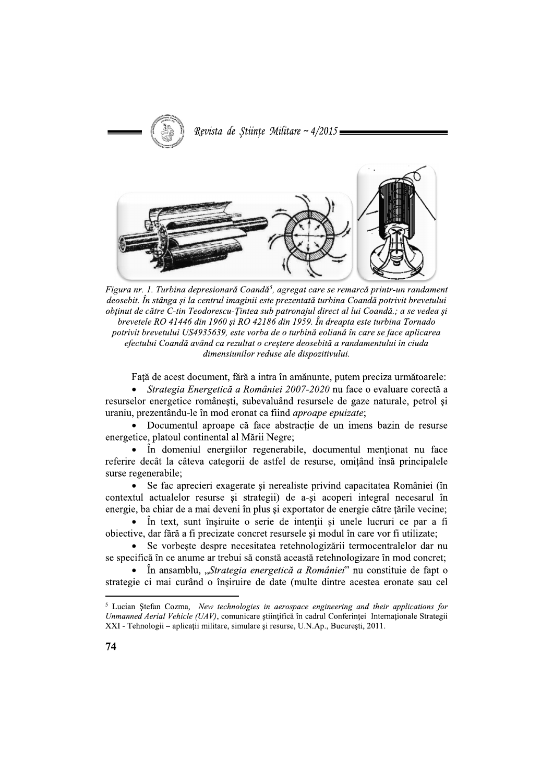

Figura nr. 1. Turbina depresionară Coandă<sup>5</sup>, agregat care se remarcă printr-un randament deosebit. În stânga și la centrul imaginii este prezentată turbina Coandă potrivit brevetului obținut de către C-tin Teodorescu-Țintea sub patronajul direct al lui Coandă.; a se vedea și brevetele RO 41446 din 1960 si RO 42186 din 1959. În dreapta este turbina Tornado potrivit brevetului US4935639, este vorba de o turbină eoliană în care se face aplicarea efectului Coandă având ca rezultat o creștere deosebită a randamentului în ciuda dimensiunilor reduse ale dispozitivului.

Față de acest document, fără a intra în amănunte, putem preciza următoarele:

• *Strategia Energetică a României 2007-2020* nu face o evaluare corectă a resurselor energetice românești, subevaluând resursele de gaze naturale, petrol și uraniu, prezentându-le în mod eronat ca fiind *aproape epuizate*;

• Documentul aproape că face abstractie de un imens bazin de resurse energetice, platoul continental al Mării Negre;

• În domeniul energiilor regenerabile, documentul menționat nu face referire decât la câteva categorii de astfel de resurse, omițând însă principalele surse regenerabile;

• Se fac aprecieri exagerate și nerealiste privind capacitatea României (în contextul actualelor resurse și strategii) de a-și acoperi integral necesarul în energie, ba chiar de a mai deveni în plus și exportator de energie către țările vecine;

• În text, sunt însiruite o serie de intenții și unele lucruri ce par a fi obiective, dar fără a fi precizate concret resursele și modul în care vor fi utilizate;

• Se vorbeste despre necesitatea retehnologizării termocentralelor dar nu se specifică în ce anume ar trebui să constă această retehnologizare în mod concret;

• În ansamblu, "Strategia energetică a României" nu constituie de fapt o strategie ci mai curând o însiruire de date (multe dintre acestea eronate sau cel

<sup>&</sup>lt;sup>5</sup> Lucian Stefan Cozma, *New technologies in aerospace engineering and their applications for* Unmanned Aerial Vehicle (UAV), comunicare stiințifică în cadrul Conferinței Internaționale Strategii XXI - Tehnologii - aplicații militare, simulare și resurse, U.N.Ap., București, 2011.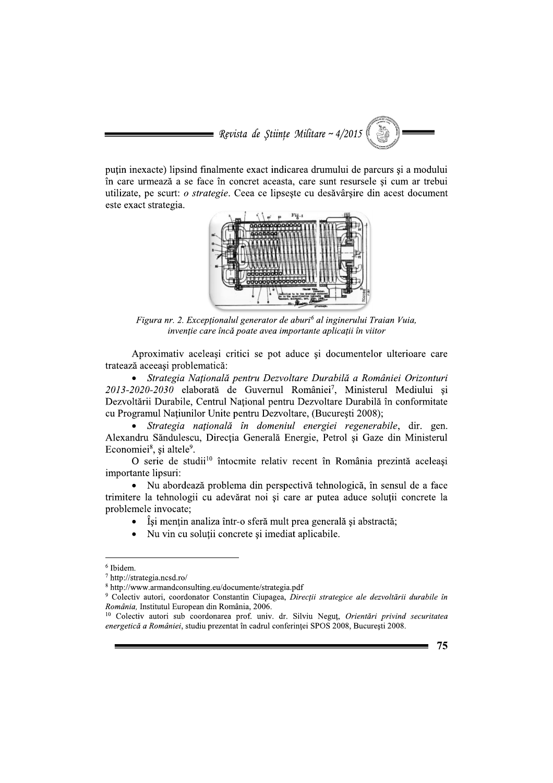$\blacksquare$  Revista de Științe Militare ~ 4/2015

puțin inexacte) lipsind finalmente exact indicarea drumului de parcurs și a modului în care urmează a se face în concret aceasta, care sunt resursele și cum ar trebui utilizate, pe scurt: o strategie. Ceea ce lipseste cu desăvârșire din acest document este exact strategia.



Figura nr. 2. Exceptionalul generator de aburi<sup>6</sup> al inginerului Traian Vuia, invenție care încă poate avea importante aplicații în viitor

Aproximativ aceleasi critici se pot aduce si documentelor ulterioare care tratează aceeași problematică:

Strategia Națională pentru Dezvoltare Durabilă a României Orizonturi 2013-2020-2030 elaborată de Guvernul României<sup>7</sup>, Ministerul Mediului și Dezvoltării Durabile, Centrul Național pentru Dezvoltare Durabilă în conformitate cu Programul Națiunilor Unite pentru Dezvoltare, (București 2008);

Strategia natională în domeniul energiei regenerabile, dir. gen. Alexandru Săndulescu, Direcția Generală Energie, Petrol și Gaze din Ministerul Economiei<sup>8</sup>, și altele<sup>9</sup>.

O serie de studii<sup>10</sup> întocmite relativ recent în România prezintă aceleași importante lipsuri:

Nu abordează problema din perspectivă tehnologică, în sensul de a face trimitere la tehnologii cu adevărat noi și care ar putea aduce soluții concrete la problemele invocate:

- Iși mențin analiza într-o sferă mult prea generală și abstractă;
- Nu vin cu soluții concrete și imediat aplicabile.

<sup>&</sup>lt;sup>10</sup> Colectiv autori sub coordonarea prof. univ. dr. Silviu Negut, Orientări privind securitatea energetică a României, studiu prezentat în cadrul conferinței SPOS 2008, București 2008.



<sup>&</sup>lt;sup>6</sup> Ibidem.

<sup>7</sup> http://strategia.ncsd.ro/

<sup>&</sup>lt;sup>8</sup> http://www.armandconsulting.eu/documente/strategia.pdf

<sup>&</sup>lt;sup>9</sup> Colectiv autori, coordonator Constantin Ciupagea, Direcții strategice ale dezvoltării durabile în România, Institutul European din România, 2006.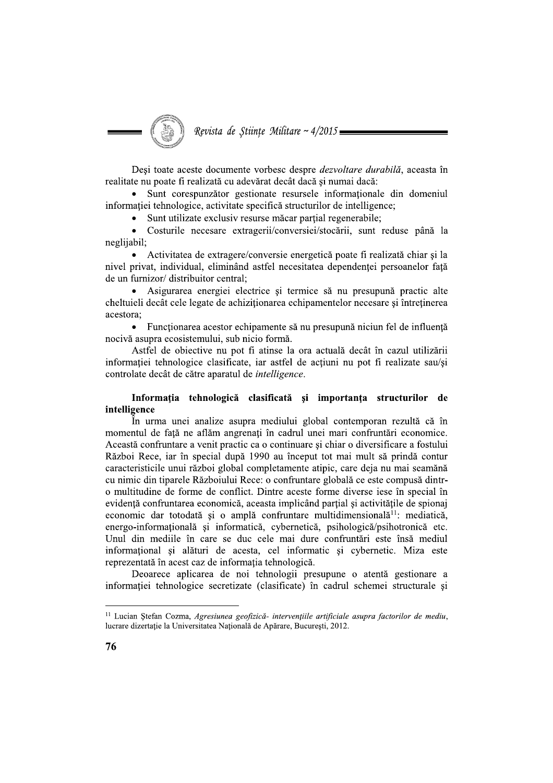

Desi toate aceste documente vorbesc despre *dezvoltare durabilă*, aceasta în realitate nu poate fi realizată cu adevărat decât dacă și numai dacă:

Sunt corespunzător gestionate resursele informaționale din domeniul informației tehnologice, activitate specifică structurilor de intelligence;

• Sunt utilizate exclusiv resurse măcar parțial regenerabile;

 $\bullet$ Costurile necesare extragerii/conversiei/stocării, sunt reduse până la neglijabil:

• Activitatea de extragere/conversie energetică poate fi realizată chiar și la nivel privat, individual, eliminând astfel necesitatea dependenței persoanelor față de un furnizor/ distribuitor central;

Asigurarea energiei electrice și termice să nu presupună practic alte cheltuieli decât cele legate de achizitionarea echipamentelor necesare si întretinerea acestora:

• Functionarea acestor echipamente să nu presupună niciun fel de influență nocivă asupra ecosistemului, sub nicio formă.

Astfel de obiective nu pot fi atinse la ora actuală decât în cazul utilizării informatiei tehnologice clasificate, iar astfel de actiuni nu pot fi realizate sau/si controlate decât de către aparatul de *intelligence*.

### Informația tehnologică clasificată și importanța structurilor de intelligence

În urma unei analize asupra mediului global contemporan rezultă că în momentul de față ne aflăm angrenați în cadrul unei mari confruntări economice. Această confruntare a venit practic ca o continuare și chiar o diversificare a fostului Război Rece, iar în special după 1990 au început tot mai mult să prindă contur caracteristicile unui război global completamente atipic, care deja nu mai seamănă cu nimic din tiparele Războiului Rece: o confruntare globală ce este compusă dintro multitudine de forme de conflict. Dintre aceste forme diverse iese în special în evidență confruntarea economică, aceasta implicând parțial și activitățile de spionaj economic dar totodată și o amplă confruntare multidimensională<sup>11</sup>: mediatică, energo-informatională și informatică, cybernetică, psihologică/psihotronică etc. Unul din mediile în care se duc cele mai dure confruntări este însă mediul informational si alături de acesta, cel informatic si cybernetic. Miza este reprezentată în acest caz de informația tehnologică.

Deoarece aplicarea de noi tehnologii presupune o atentă gestionare a informației tehnologice secretizate (clasificate) în cadrul schemei structurale și

<sup>&</sup>lt;sup>11</sup> Lucian Ștefan Cozma, Agresiunea geofizică- intervențiile artificiale asupra factorilor de mediu, lucrare dizertație la Universitatea Națională de Apărare, București, 2012.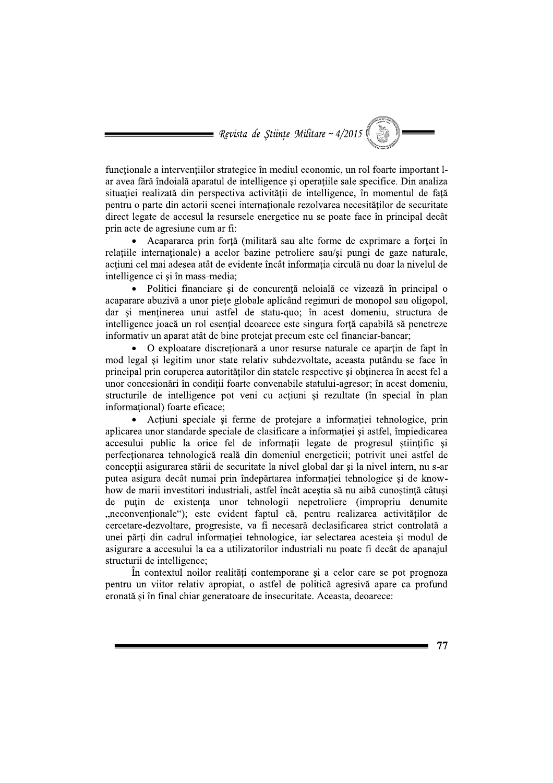= Revista de Științe Militare ~  $4/2015$ 

functionale a interventiilor strategice în mediul economic, un rol foarte important lar avea fără îndoială aparatul de intelligence și operațiile sale specifice. Din analiza situatiei realizată din perspectiva activității de intelligence, în momentul de fată pentru o parte din actorii scenei internaționale rezolvarea necesităților de securitate direct legate de accesul la resursele energetice nu se poate face în principal decât prin acte de agresiune cum ar fi:

Acapararea prin fortă (militară sau alte forme de exprimare a fortei în relatiile internationale) a acelor bazine petroliere sau/si pungi de gaze naturale, actiuni cel mai adesea atât de evidente încât informatia circulă nu doar la nivelul de intelligence ci si în mass-media;

• Politici financiare și de concurență neloială ce vizează în principal o acaparare abuzivă a unor piețe globale aplicând regimuri de monopol sau oligopol, dar și menținerea unui astfel de statu-quo; în acest domeniu, structura de intelligence joacă un rol esential deoarece este singura fortă capabilă să penetreze informativ un aparat atât de bine protejat precum este cel financiar-bancar;

• O exploatare discretionară a unor resurse naturale ce apartin de fapt în mod legal si legitim unor state relativ subdezvoltate, aceasta putându-se face în principal prin coruperea autorităților din statele respective și obținerea în acest fel a unor concesionări în conditii foarte convenabile statului-agresor; în acest domeniu, structurile de intelligence pot veni cu acțiuni și rezultate (în special în plan informational) foarte eficace:

• Acțiuni speciale și ferme de protejare a informației tehnologice, prin aplicarea unor standarde speciale de clasificare a informației și astfel, împiedicarea accesului public la orice fel de informatii legate de progresul stiintific si perfectionarea tehnologică reală din domeniul energeticii; potrivit unei astfel de conceptii asigurarea stării de securitate la nivel global dar si la nivel intern, nu s-ar putea asigura decât numai prin îndepărtarea informației tehnologice și de knowhow de marii investitori industriali, astfel încât aceștia să nu aibă cunoștință câtuși de puțin de existența unor tehnologii nepetroliere (impropriu denumite "neconvenționale"); este evident faptul că, pentru realizarea activităților de cercetare-dezvoltare, progresiste, va fi necesară declasificarea strict controlată a unei părți din cadrul informației tehnologice, iar selectarea acesteia și modul de asigurare a accesului la ea a utilizatorilor industriali nu poate fi decât de apanajul structurii de intelligence;

În contextul noilor realități contemporane și a celor care se pot prognoza pentru un viitor relativ apropiat, o astfel de politică agresivă apare ca profund eronată și în final chiar generatoare de insecuritate. Aceasta, deoarece: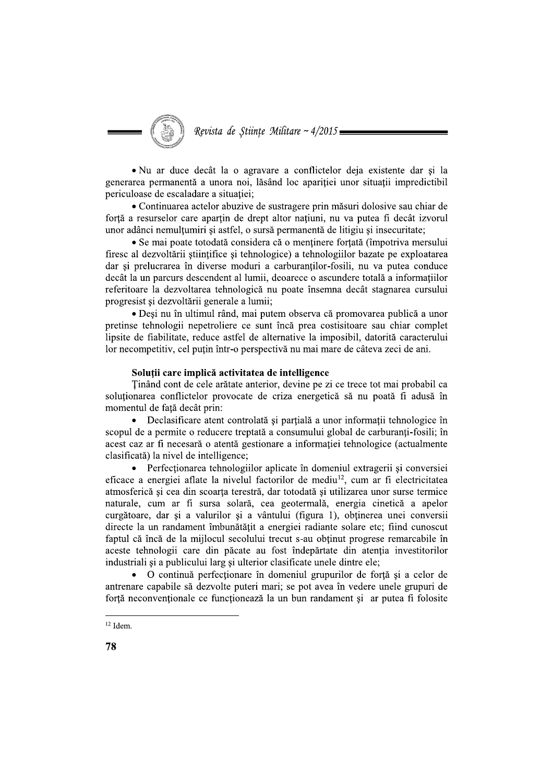Revista de Stiințe Militare ~  $4/2015$ 

• Nu ar duce decât la o agravare a conflictelor deja existente dar si la generarea permanentă a unora noi, lăsând loc apariției unor situații impredictibil periculoase de escaladare a situației;

• Continuarea actelor abuzive de sustragere prin măsuri dolosive sau chiar de forță a resurselor care aparțin de drept altor națiuni, nu va putea fi decât izvorul unor adânci nemultumiri și astfel, o sursă permanentă de litigiu și insecuritate;

• Se mai poate totodată considera că o mentinere fortată (împotriva mersului firesc al dezvoltării științifice și tehnologice) a tehnologiilor bazate pe exploatarea dar si prelucrarea în diverse moduri a carburantilor-fosili, nu va putea conduce decât la un parcurs descendent al lumii, deoarece o ascundere totală a informațiilor referitoare la dezvoltarea tehnologică nu poate însemna decât stagnarea cursului progresist și dezvoltării generale a lumii;

• Desi nu în ultimul rând, mai putem observa că promovarea publică a unor pretinse tehnologii nepetroliere ce sunt încă prea costisitoare sau chiar complet lipsite de fiabilitate, reduce astfel de alternative la imposibil, datorită caracterului lor necompetitiv, cel puțin într-o perspectivă nu mai mare de câteva zeci de ani.

#### Solutii care implică activitatea de intelligence

Tinând cont de cele arătate anterior, devine pe zi ce trece tot mai probabil ca soluționarea conflictelor provocate de criza energetică să nu poată fi adusă în momentul de față decât prin:

• Declasificare atent controlată și parțială a unor informații tehnologice în scopul de a permite o reducere treptată a consumului global de carburanți-fosili; în acest caz ar fi necesară o atentă gestionare a informatiei tehnologice (actualmente clasificată) la nivel de intelligence;

Perfectionarea tehnologiilor aplicate în domeniul extragerii și conversiei eficace a energiei aflate la nivelul factorilor de mediu<sup>12</sup>, cum ar fi electricitatea atmosferică și cea din scoarța terestră, dar totodată și utilizarea unor surse termice naturale, cum ar fi sursa solară, cea geotermală, energia cinetică a apelor curgătoare, dar și a valurilor și a vântului (figura 1), obținerea unei conversii directe la un randament îmbunătătit a energiei radiante solare etc: fiind cunoscut faptul că încă de la mijlocul secolului trecut s-au obținut progrese remarcabile în aceste tehnologii care din păcate au fost îndepărtate din atentia investitorilor industriali și a publicului larg și ulterior clasificate unele dintre ele;

• O continuă perfecționare în domeniul grupurilor de forță și a celor de antrenare capabile să dezvolte puteri mari; se pot avea în vedere unele grupuri de forță neconvenționale ce funcționează la un bun randament și ar putea fi folosite

 $12$  Idem.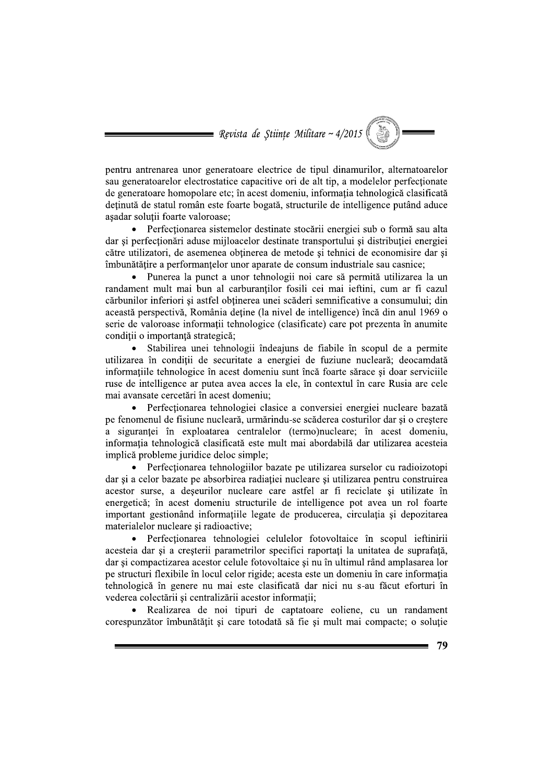= Revista de Științe Militare ~  $4/2015$ 

pentru antrenarea unor generatoare electrice de tipul dinamurilor, alternatoarelor sau generatoarelor electrostatice capacitive ori de alt tip, a modelelor perfectionate de generatoare homopolare etc; în acest domeniu, informatia tehnologică clasificată deținută de statul român este foarte bogată, structurile de intelligence putând aduce asadar solutii foarte valoroase:

Perfecționarea sistemelor destinate stocării energiei sub o formă sau alta dar si perfectionări aduse miiloacelor destinate transportului și distributiei energiei către utilizatori, de asemenea obtinerea de metode si tehnici de economisire dar si îmbunătățire a performanțelor unor aparate de consum industriale sau casnice;

Punerea la punct a unor tehnologii noi care să permită utilizarea la un randament mult mai bun al carburanților fosili cei mai ieftini, cum ar fi cazul cărbunilor inferiori și astfel obținerea unei scăderi semnificative a consumului; din această perspectivă, România deține (la nivel de intelligence) încă din anul 1969 o serie de valoroase informatii tehnologice (clasificate) care pot prezenta în anumite conditii o importantă strategică;

· Stabilirea unei tehnologii îndeajuns de fiabile în scopul de a permite utilizarea în condiții de securitate a energiei de fuziune nucleară; deocamdată informațiile tehnologice în acest domeniu sunt încă foarte sărace și doar serviciile ruse de intelligence ar putea avea acces la ele, în contextul în care Rusia are cele mai avansate cercetări în acest domeniu;

Perfectionarea tehnologiei clasice a conversiei energiei nucleare bazată pe fenomenul de fisiune nucleară, urmărindu-se scăderea costurilor dar și o creștere a siguranței în exploatarea centralelor (termo)nucleare; în acest domeniu, informatia tehnologică clasificată este mult mai abordabilă dar utilizarea acesteia implică probleme juridice deloc simple:

Perfectionarea tehnologiilor bazate pe utilizarea surselor cu radioizotopi dar si a celor bazate pe absorbirea radiației nucleare și utilizarea pentru construirea acestor surse, a deseurilor nucleare care astfel ar fi reciclate si utilizate în energetică; în acest domeniu structurile de intelligence pot avea un rol foarte important gestionând informatiile legate de producerea, circulatia și depozitarea materialelor nucleare si radioactive:

• Perfectionarea tehnologiei celulelor fotovoltaice în scopul ieftinirii acesteia dar si a cresterii parametrilor specifici raportati la unitatea de suprafată, dar și compactizarea acestor celule fotovoltaice și nu în ultimul rând amplasarea lor pe structuri flexibile în locul celor rigide; acesta este un domeniu în care informația tehnologică în genere nu mai este clasificată dar nici nu s-au făcut eforturi în vederea colectării și centralizării acestor informatii:

Realizarea de noi tipuri de captatoare eoliene, cu un randament corespunzător îmbunătățit și care totodată să fie și mult mai compacte; o soluție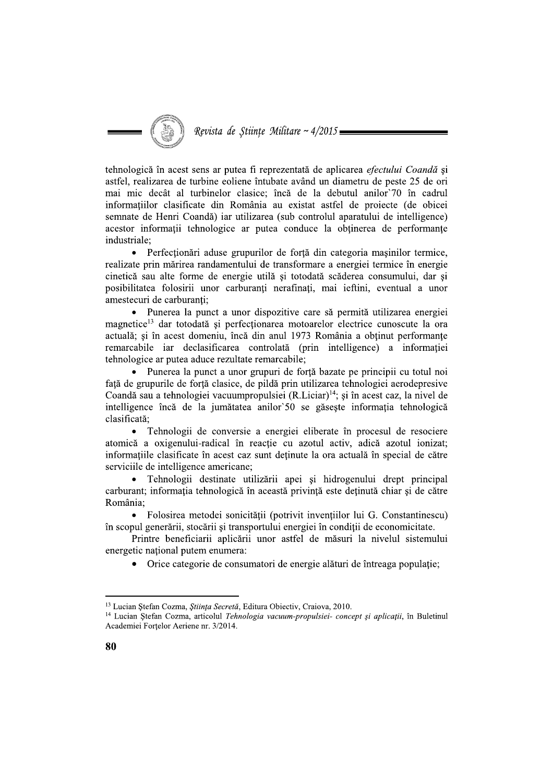tehnologică în acest sens ar putea fi reprezentată de aplicarea *efectului Coandă* și astfel, realizarea de turbine eoliene întubate având un diametru de peste 25 de ori mai mic decât al turbinelor clasice; încă de la debutul anilor 70 în cadrul informatiilor clasificate din România au existat astfel de proiecte (de obicei semnate de Henri Coandă) iar utilizarea (sub controlul aparatului de intelligence) acestor informații tehnologice ar putea conduce la obținerea de performanțe industriale:

Perfectionari aduse grupurilor de forta din categoria masinilor termice,  $\bullet$ realizate prin mărirea randamentului de transformare a energiei termice în energie cinetică sau alte forme de energie utilă și totodată scăderea consumului, dar si posibilitatea folosirii unor carburanți nerafinați, mai ieftini, eventual a unor amestecuri de carburanți;

Punerea la punct a unor dispozitive care să permită utilizarea energiei magnetice<sup>13</sup> dar totodată și perfectionarea motoarelor electrice cunoscute la ora actuală; și în acest domeniu, încă din anul 1973 România a obținut performanțe remarcabile iar declasificarea controlată (prin intelligence) a informatiei tehnologice ar putea aduce rezultate remarcabile;

• Punerea la punct a unor grupuri de forță bazate pe principii cu totul noi fată de grupurile de fortă clasice, de pildă prin utilizarea tehnologiei aerodepresive Coandă sau a tehnologiei vacuumpropulsiei (R.Liciar)<sup>14</sup>; și în acest caz, la nivel de intelligence încă de la jumătatea anilor 50 se găsește informația tehnologică clasificată:

• Tehnologii de conversie a energiei eliberate în procesul de resociere atomică a oxigenului-radical în reactie cu azotul activ, adică azotul ionizat; informatiile clasificate în acest caz sunt detinute la ora actuală în special de către serviciile de intelligence americane;

Tehnologii destinate utilizării apei și hidrogenului drept principal carburant; informația tehnologică în această privință este deținută chiar și de către România;

· Folosirea metodei sonicității (potrivit invențiilor lui G. Constantinescu) în scopul generării, stocării si transportului energiei în conditii de economicitate.

Printre beneficiarii aplicării unor astfel de măsuri la nivelul sistemului energetic national putem enumera:

• Orice categorie de consumatori de energie alături de întreaga populație;

<sup>&</sup>lt;sup>13</sup> Lucian Stefan Cozma, Stiința Secretă, Editura Obiectiv, Craiova, 2010.

<sup>&</sup>lt;sup>14</sup> Lucian Stefan Cozma, articolul Tehnologia vacuum-propulsiei- concept și aplicații, în Buletinul Academiei Fortelor Aeriene nr. 3/2014.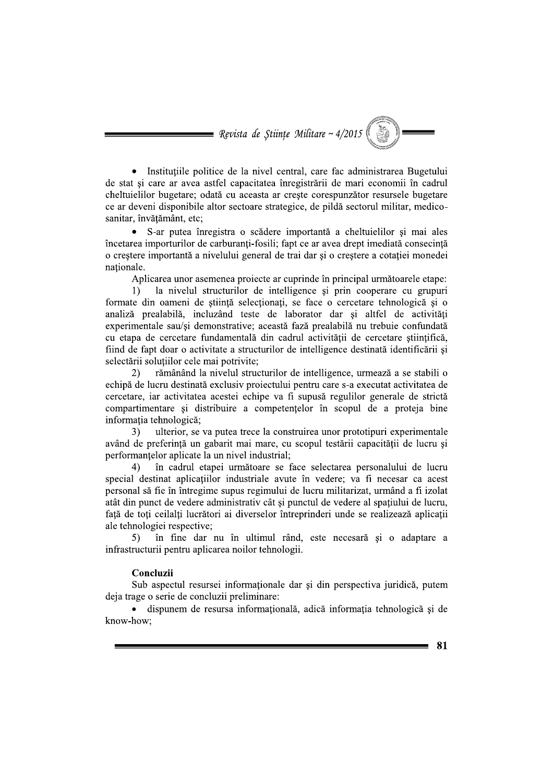= Revista de Științe Militare ~  $4/2015$ 

Institutiile politice de la nivel central, care fac administrarea Bugetului de stat si care ar avea astfel capacitatea înregistrării de mari economii în cadrul cheltuielilor bugetare; odată cu aceasta ar crește corespunzător resursele bugetare ce ar deveni disponibile altor sectoare strategice, de pildă sectorul militar, medicosanitar, învățământ, etc;

• S-ar putea înregistra o scădere importantă a cheltuielilor și mai ales încetarea importurilor de carburanți-fosili; fapt ce ar avea drept imediată consecință o crestere importantă a nivelului general de trai dar și o creștere a cotației monedei nationale.

Aplicarea unor asemenea proiecte ar cuprinde în principal următoarele etape:

la nivelul structurilor de intelligence și prin cooperare cu grupuri  $1)$ formate din oameni de stiintă selectionati, se face o cercetare tehnologică si o analiză prealabilă, incluzând teste de laborator dar și altfel de activități experimentale sau/si demonstrative; această fază prealabilă nu trebuie confundată cu etapa de cercetare fundamentală din cadrul activității de cercetare stiințifică, fiind de fapt doar o activitate a structurilor de intelligence destinată identificării și selectării soluțiilor cele mai potrivite;

 $(2)$ rămânând la nivelul structurilor de intelligence, urmează a se stabili o echipă de lucru destinată exclusiv proiectului pentru care s-a executat activitatea de cercetare, iar activitatea acestei echipe va fi supusă regulilor generale de strictă compartimentare și distribuire a competențelor în scopul de a proteja bine informatia tehnologică;

 $3)$ ulterior, se va putea trece la construirea unor prototipuri experimentale având de preferintă un gabarit mai mare, cu scopul testării capacității de lucru și performantelor aplicate la un nivel industrial:

în cadrul etapei următoare se face selectarea personalului de lucru  $\Delta$ special destinat aplicațiilor industriale avute în vedere; va fi necesar ca acest personal să fie în întregime supus regimului de lucru militarizat, urmând a fi izolat atât din punct de vedere administrativ cât și punctul de vedere al spațiului de lucru, față de toți ceilalți lucrători ai diverselor întreprinderi unde se realizează aplicații ale tehnologiei respective;

în fine dar nu în ultimul rând, este necesară și o adaptare a  $5)$ infrastructurii pentru aplicarea noilor tehnologii.

#### Concluzii

Sub aspectul resursei informationale dar și din perspectiva juridică, putem deja trage o serie de concluzii preliminare:

· dispunem de resursa informatională, adică informatia tehnologică și de know-how;

81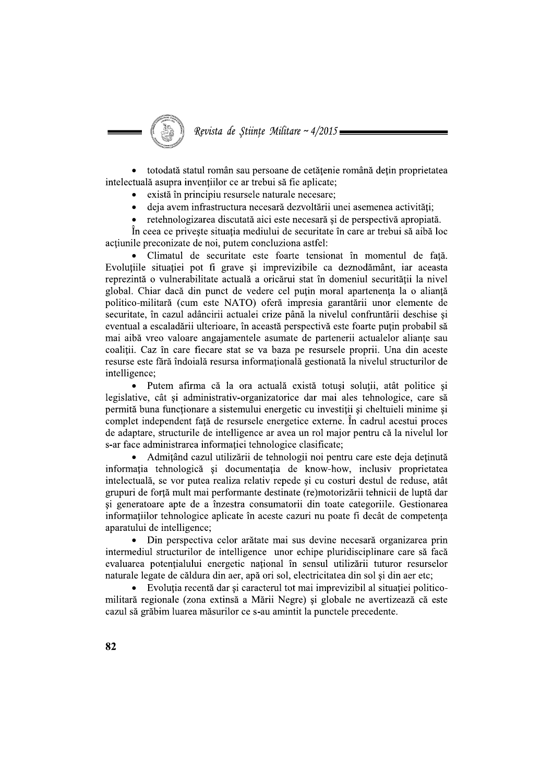Revista de Stiințe Militare ~  $4/2015$ 

• totodată statul român sau persoane de cetățenie română dețin proprietatea intelectuală asupra invențiilor ce ar trebui să fie aplicate;

- există în principiu resursele naturale necesare;
- deja avem infrastructura necesară dezvoltării unei asemenea activități;
- retehnologizarea discutată aici este necesară și de perspectivă apropiată.

În ceea ce priveste situația mediului de securitate în care ar trebui să aibă loc actiunile preconizate de noi, putem concluziona astfel:

Climatul de securitate este foarte tensionat în momentul de fată. Evoluțiile situației pot fi grave și imprevizibile ca deznodământ, iar aceasta reprezintă o vulnerabilitate actuală a oricărui stat în domeniul securității la nivel global. Chiar dacă din punct de vedere cel putin moral apartenenta la o aliantă politico-militară (cum este NATO) oferă impresia garantării unor elemente de securitate, în cazul adâncirii actualei crize până la nivelul confruntării deschise și eventual a escaladării ulterioare, în această perspectivă este foarte puțin probabil să mai aibă vreo valoare angajamentele asumate de partenerii actualelor alianțe sau coaliții. Caz în care fiecare stat se va baza pe resursele proprii. Una din aceste resurse este fără îndoială resursa informațională gestionată la nivelul structurilor de intelligence:

Putem afirma că la ora actuală există totuși soluții, atât politice și legislative, cât și administrativ-organizatorice dar mai ales tehnologice, care să permită buna funcționare a sistemului energetic cu investiții și cheltuieli minime și complet independent față de resursele energetice externe. În cadrul acestui proces de adaptare, structurile de intelligence ar avea un rol major pentru că la nivelul lor s-ar face administrarea informației tehnologice clasificate;

Admitând cazul utilizării de tehnologii noi pentru care este deja detinută informația tehnologică și documentația de know-how, inclusiv proprietatea intelectuală, se vor putea realiza relativ repede și cu costuri destul de reduse, atât grupuri de forță mult mai performante destinate (re)motorizării tehnicii de luptă dar și generatoare apte de a înzestra consumatorii din toate categoriile. Gestionarea informatiilor tehnologice aplicate în aceste cazuri nu poate fi decât de competența aparatului de intelligence:

Din perspectiva celor arătate mai sus devine necesară organizarea prin intermediul structurilor de intelligence unor echipe pluridisciplinare care să facă evaluarea potentialului energetic national în sensul utilizării tuturor resurselor naturale legate de căldura din aer, apă ori sol, electricitatea din sol si din aer etc;

• Evolutia recentă dar si caracterul tot mai imprevizibil al situatiei politicomilitară regionale (zona extinsă a Mării Negre) și globale ne avertizează că este cazul să grăbim luarea măsurilor ce s-au amintit la punctele precedente.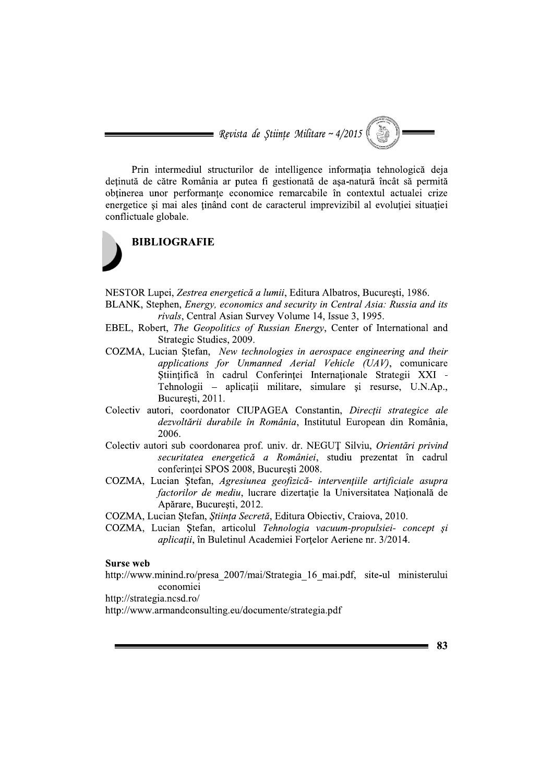= Revista de Stiințe Militare ~  $4/2015$ 

Prin intermediul structurilor de intelligence informatia tehnologică deia deținută de către România ar putea fi gestionată de așa-natură încât să permită obținerea unor performanțe economice remarcabile în contextul actualei crize energetice și mai ales ținând cont de caracterul imprevizibil al evoluției situației conflictuale globale.



NESTOR Lupei, Zestrea energetică a lumii, Editura Albatros, Bucuresti, 1986.

- BLANK, Stephen, Energy, economics and security in Central Asia: Russia and its rivals, Central Asian Survey Volume 14, Issue 3, 1995.
- EBEL, Robert, The Geopolitics of Russian Energy, Center of International and Strategic Studies, 2009.
- COZMA, Lucian Stefan, New technologies in aerospace engineering and their applications for Unmanned Aerial Vehicle (UAV), comunicare Stiințifică în cadrul Conferinței Internaționale Strategii XXI -Tehnologii – aplicații militare, simulare și resurse, U.N.Ap., Bucuresti, 2011.
- Colectiv autori, coordonator CIUPAGEA Constantin, *Directii strategice ale* dezvoltării durabile în România, Institutul European din România, 2006.
- Colectiv autori sub coordonarea prof. univ. dr. NEGUȚ Silviu, Orientări privind securitatea energetică a României, studiu prezentat în cadrul conferinței SPOS 2008, București 2008.
- COZMA, Lucian Ștefan, Agresiunea geofizică- intervențiile artificiale asupra factorilor de mediu, lucrare dizertație la Universitatea Națională de Apărare, Bucuresti, 2012.
- COZMA, Lucian Stefan, Stiința Secretă, Editura Obiectiv, Craiova, 2010.
- COZMA, Lucian Ștefan, articolul Tehnologia vacuum-propulsiei- concept și *aplicații*, în Buletinul Academiei Forțelor Aeriene nr. 3/2014.

#### **Surse web**

http://www.minind.ro/presa 2007/mai/Strategia 16 mai.pdf, site-ul ministerului economiei

http://strategia.ncsd.ro/

http://www.armandconsulting.eu/documente/strategia.pdf

83